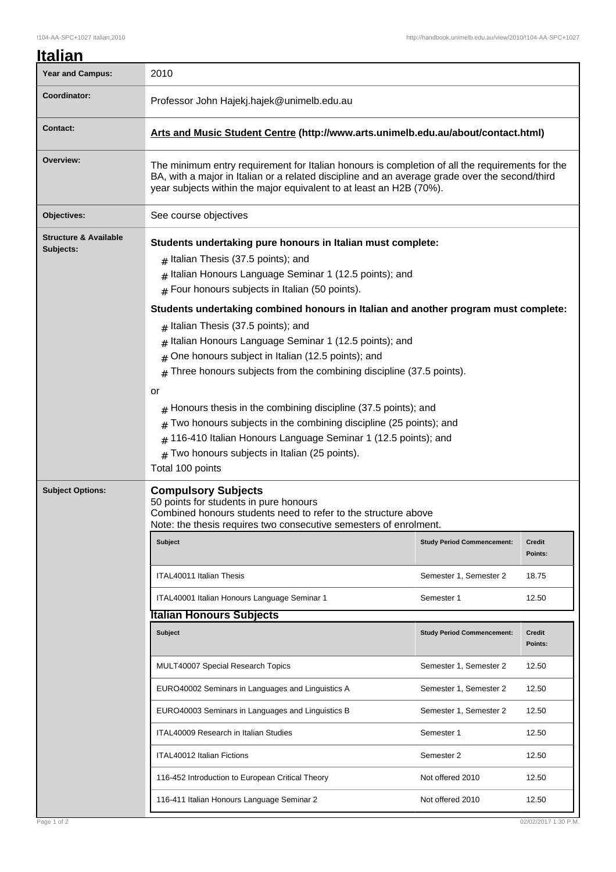| Italian          |  |
|------------------|--|
| Voar and Campuc. |  |

| Year and Campus:                              | 2010                                                                                                                                                                                                                                                                                                                                                                                                                                                                                                                                                                                                                      |                                   |                          |  |
|-----------------------------------------------|---------------------------------------------------------------------------------------------------------------------------------------------------------------------------------------------------------------------------------------------------------------------------------------------------------------------------------------------------------------------------------------------------------------------------------------------------------------------------------------------------------------------------------------------------------------------------------------------------------------------------|-----------------------------------|--------------------------|--|
| Coordinator:                                  | Professor John Hajekj.hajek@unimelb.edu.au                                                                                                                                                                                                                                                                                                                                                                                                                                                                                                                                                                                |                                   |                          |  |
| <b>Contact:</b>                               | Arts and Music Student Centre (http://www.arts.unimelb.edu.au/about/contact.html)                                                                                                                                                                                                                                                                                                                                                                                                                                                                                                                                         |                                   |                          |  |
| Overview:                                     | The minimum entry requirement for Italian honours is completion of all the requirements for the<br>BA, with a major in Italian or a related discipline and an average grade over the second/third<br>year subjects within the major equivalent to at least an H2B (70%).                                                                                                                                                                                                                                                                                                                                                  |                                   |                          |  |
| Objectives:                                   | See course objectives                                                                                                                                                                                                                                                                                                                                                                                                                                                                                                                                                                                                     |                                   |                          |  |
| <b>Structure &amp; Available</b><br>Subjects: | Students undertaking pure honours in Italian must complete:<br>$#$ Italian Thesis (37.5 points); and<br>Italian Honours Language Seminar 1 (12.5 points); and<br>#<br>$#$ Four honours subjects in Italian (50 points).                                                                                                                                                                                                                                                                                                                                                                                                   |                                   |                          |  |
|                                               | Students undertaking combined honours in Italian and another program must complete:<br>$#$ Italian Thesis (37.5 points); and<br>Italian Honours Language Seminar 1 (12.5 points); and<br>One honours subject in Italian (12.5 points); and<br>$\#$<br>Three honours subjects from the combining discipline (37.5 points).<br>or<br>Honours thesis in the combining discipline (37.5 points); and<br>Two honours subjects in the combining discipline (25 points); and<br>#<br>116-410 Italian Honours Language Seminar 1 (12.5 points); and<br>#<br>Two honours subjects in Italian (25 points).<br>#<br>Total 100 points |                                   |                          |  |
| <b>Subject Options:</b>                       | <b>Compulsory Subjects</b><br>50 points for students in pure honours<br>Combined honours students need to refer to the structure above<br>Note: the thesis requires two consecutive semesters of enrolment.                                                                                                                                                                                                                                                                                                                                                                                                               |                                   |                          |  |
|                                               | <b>Subject</b>                                                                                                                                                                                                                                                                                                                                                                                                                                                                                                                                                                                                            | <b>Study Period Commencement:</b> | <b>Credit</b><br>Points: |  |
|                                               | ITAL40011 Italian Thesis                                                                                                                                                                                                                                                                                                                                                                                                                                                                                                                                                                                                  | Semester 1, Semester 2            | 18.75                    |  |
|                                               | ITAL40001 Italian Honours Language Seminar 1                                                                                                                                                                                                                                                                                                                                                                                                                                                                                                                                                                              | Semester 1                        | 12.50                    |  |
|                                               | <b>Italian Honours Subjects</b>                                                                                                                                                                                                                                                                                                                                                                                                                                                                                                                                                                                           |                                   |                          |  |
|                                               | Subject                                                                                                                                                                                                                                                                                                                                                                                                                                                                                                                                                                                                                   | <b>Study Period Commencement:</b> | <b>Credit</b><br>Points: |  |
|                                               | MULT40007 Special Research Topics                                                                                                                                                                                                                                                                                                                                                                                                                                                                                                                                                                                         | Semester 1, Semester 2            | 12.50                    |  |
|                                               | EURO40002 Seminars in Languages and Linguistics A                                                                                                                                                                                                                                                                                                                                                                                                                                                                                                                                                                         | Semester 1, Semester 2            | 12.50                    |  |
|                                               | EURO40003 Seminars in Languages and Linguistics B                                                                                                                                                                                                                                                                                                                                                                                                                                                                                                                                                                         | Semester 1, Semester 2            | 12.50                    |  |
|                                               | ITAL40009 Research in Italian Studies                                                                                                                                                                                                                                                                                                                                                                                                                                                                                                                                                                                     | Semester 1                        | 12.50                    |  |
|                                               | ITAL40012 Italian Fictions                                                                                                                                                                                                                                                                                                                                                                                                                                                                                                                                                                                                | Semester 2                        | 12.50                    |  |
|                                               | 116-452 Introduction to European Critical Theory                                                                                                                                                                                                                                                                                                                                                                                                                                                                                                                                                                          | Not offered 2010                  | 12.50                    |  |
|                                               | 116-411 Italian Honours Language Seminar 2                                                                                                                                                                                                                                                                                                                                                                                                                                                                                                                                                                                | Not offered 2010                  | 12.50                    |  |
| Page 1 of 2                                   |                                                                                                                                                                                                                                                                                                                                                                                                                                                                                                                                                                                                                           |                                   | 02/02/2017 1:30 P.M.     |  |